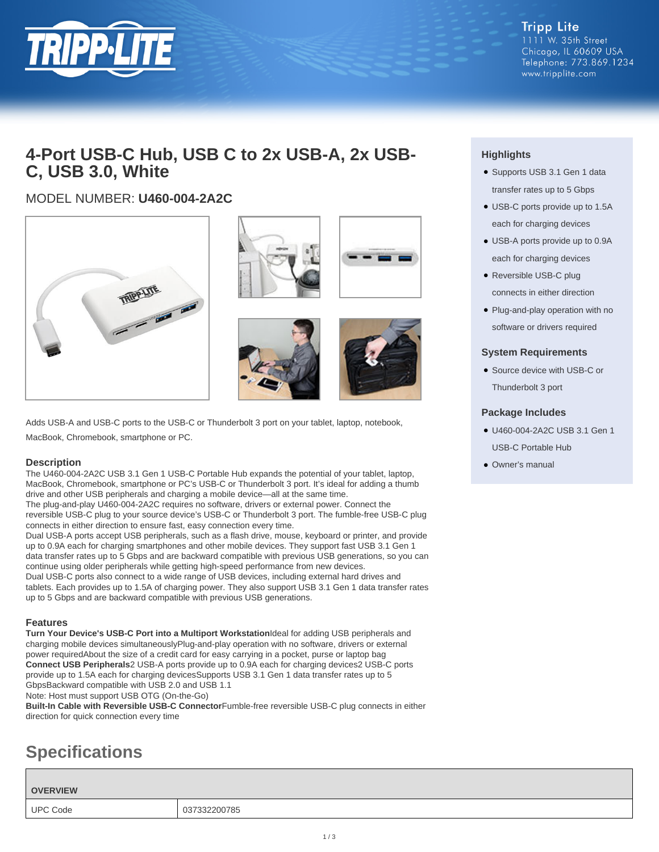

**Tripp Lite** 1111 W. 35th Street Chicago, IL 60609 USA Telephone: 773.869.1234 www.tripplite.com

## **4-Port USB-C Hub, USB C to 2x USB-A, 2x USB-C, USB 3.0, White**

### MODEL NUMBER: **U460-004-2A2C**



Adds USB-A and USB-C ports to the USB-C or Thunderbolt 3 port on your tablet, laptop, notebook, MacBook, Chromebook, smartphone or PC.

#### **Description**

The U460-004-2A2C USB 3.1 Gen 1 USB-C Portable Hub expands the potential of your tablet, laptop, MacBook, Chromebook, smartphone or PC's USB-C or Thunderbolt 3 port. It's ideal for adding a thumb drive and other USB peripherals and charging a mobile device—all at the same time.

The plug-and-play U460-004-2A2C requires no software, drivers or external power. Connect the reversible USB-C plug to your source device's USB-C or Thunderbolt 3 port. The fumble-free USB-C plug connects in either direction to ensure fast, easy connection every time.

Dual USB-A ports accept USB peripherals, such as a flash drive, mouse, keyboard or printer, and provide up to 0.9A each for charging smartphones and other mobile devices. They support fast USB 3.1 Gen 1 data transfer rates up to 5 Gbps and are backward compatible with previous USB generations, so you can continue using older peripherals while getting high-speed performance from new devices.

Dual USB-C ports also connect to a wide range of USB devices, including external hard drives and tablets. Each provides up to 1.5A of charging power. They also support USB 3.1 Gen 1 data transfer rates up to 5 Gbps and are backward compatible with previous USB generations.

#### **Features**

**Turn Your Device's USB-C Port into a Multiport Workstation**Ideal for adding USB peripherals and charging mobile devices simultaneouslyPlug-and-play operation with no software, drivers or external power requiredAbout the size of a credit card for easy carrying in a pocket, purse or laptop bag **Connect USB Peripherals**2 USB-A ports provide up to 0.9A each for charging devices2 USB-C ports provide up to 1.5A each for charging devicesSupports USB 3.1 Gen 1 data transfer rates up to 5 GbpsBackward compatible with USB 2.0 and USB 1.1 Note: Host must support USB OTG (On-the-Go)

**Built-In Cable with Reversible USB-C Connector**Fumble-free reversible USB-C plug connects in either direction for quick connection every time

# **Specifications**

**OVERVIEW**

UPC Code 037332200785



- Supports USB 3.1 Gen 1 data transfer rates up to 5 Gbps
- USB-C ports provide up to 1.5A each for charging devices
- USB-A ports provide up to 0.9A each for charging devices
- Reversible USB-C plug connects in either direction
- Plug-and-play operation with no software or drivers required

#### **System Requirements**

• Source device with USB-C or Thunderbolt 3 port

#### **Package Includes**

- U460-004-2A2C USB 3.1 Gen 1 USB-C Portable Hub
- Owner's manual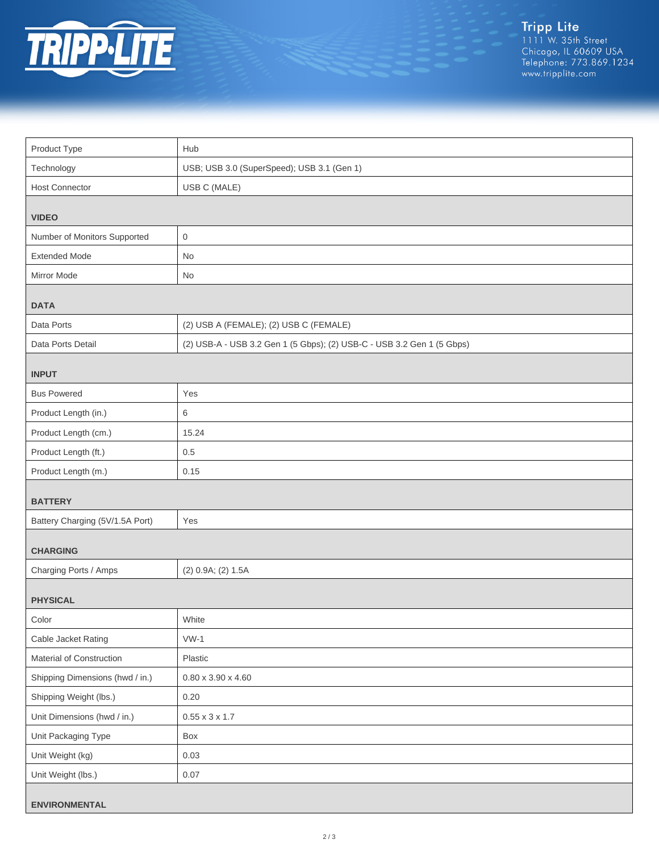

| Product Type                    | Hub                                                                    |  |
|---------------------------------|------------------------------------------------------------------------|--|
| Technology                      | USB; USB 3.0 (SuperSpeed); USB 3.1 (Gen 1)                             |  |
| <b>Host Connector</b>           | USB C (MALE)                                                           |  |
| <b>VIDEO</b>                    |                                                                        |  |
| Number of Monitors Supported    | $\mathbf 0$                                                            |  |
| <b>Extended Mode</b>            | No                                                                     |  |
| Mirror Mode                     | No                                                                     |  |
| <b>DATA</b>                     |                                                                        |  |
| Data Ports                      | (2) USB A (FEMALE); (2) USB C (FEMALE)                                 |  |
| Data Ports Detail               | (2) USB-A - USB 3.2 Gen 1 (5 Gbps); (2) USB-C - USB 3.2 Gen 1 (5 Gbps) |  |
| <b>INPUT</b>                    |                                                                        |  |
| <b>Bus Powered</b>              | Yes                                                                    |  |
| Product Length (in.)            | 6                                                                      |  |
| Product Length (cm.)            | 15.24                                                                  |  |
| Product Length (ft.)            | 0.5                                                                    |  |
| Product Length (m.)             | 0.15                                                                   |  |
| <b>BATTERY</b>                  |                                                                        |  |
| Battery Charging (5V/1.5A Port) | Yes                                                                    |  |
| <b>CHARGING</b>                 |                                                                        |  |
| Charging Ports / Amps           | (2) 0.9A; (2) 1.5A                                                     |  |
| <b>PHYSICAL</b>                 |                                                                        |  |
| Color                           | White                                                                  |  |
| Cable Jacket Rating             | $VW-1$                                                                 |  |
| Material of Construction        | Plastic                                                                |  |
| Shipping Dimensions (hwd / in.) | $0.80 \times 3.90 \times 4.60$                                         |  |
| Shipping Weight (lbs.)          | 0.20                                                                   |  |
| Unit Dimensions (hwd / in.)     | $0.55 \times 3 \times 1.7$                                             |  |
| Unit Packaging Type             | Box                                                                    |  |
| Unit Weight (kg)                | 0.03                                                                   |  |
| Unit Weight (lbs.)              | 0.07                                                                   |  |
| <b>ENVIRONMENTAL</b>            |                                                                        |  |